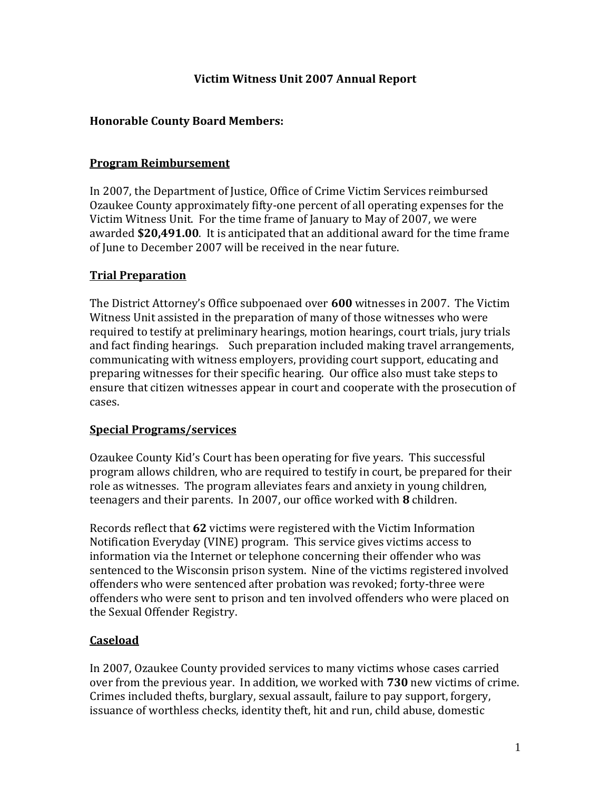## **Victim Witness Unit 2007 Annual Report**

## **Honorable County Board Members:**

#### **Program Reimbursement**

In 2007, the Department of Justice, Office of Crime Victim Services reimbursed Ozaukee County approximately fifty‐one percent of all operating expenses for the Victim Witness Unit. For the time frame of January to May of 2007, we were awarded **\$20,491.00**. It is anticipated that an additional award for the time frame of June to December 2007 will be received in the near future.

## **Trial Preparation**

The District Attorney's Office subpoenaed over **600** witnesses in 2007. The Victim Witness Unit assisted in the preparation of many of those witnesses who were required to testify at preliminary hearings, motion hearings, court trials, jury trials and fact finding hearings. Such preparation included making travel arrangements, communicating with witness employers, providing court support, educating and preparing witnesses for their specific hearing. Our office also must take steps to ensure that citizen witnesses appear in court and cooperate with the prosecution of cases.

#### **Special Programs/services**

Ozaukee County Kid's Court has been operating for five years. This successful program allows children, who are required to testify in court, be prepared for their role as witnesses. The program alleviates fears and anxiety in young children, teenagers and their parents. In 2007, our office worked with **8** children.

Records reflect that **62** victims were registered with the Victim Information Notification Everyday (VINE) program. This service gives victims access to information via the Internet or telephone concerning their offender who was sentenced to the Wisconsin prison system. Nine of the victims registered involved offenders who were sentenced after probation was revoked; forty‐three were offenders who were sent to prison and ten involved offenders who were placed on the Sexual Offender Registry.

# **Caseload**

In 2007, Ozaukee County provided services to many victims whose cases carried over from the previous year. In addition, we worked with **730** new victims of crime. Crimes included thefts, burglary, sexual assault, failure to pay support, forgery, issuance of worthless checks, identity theft, hit and run, child abuse, domestic